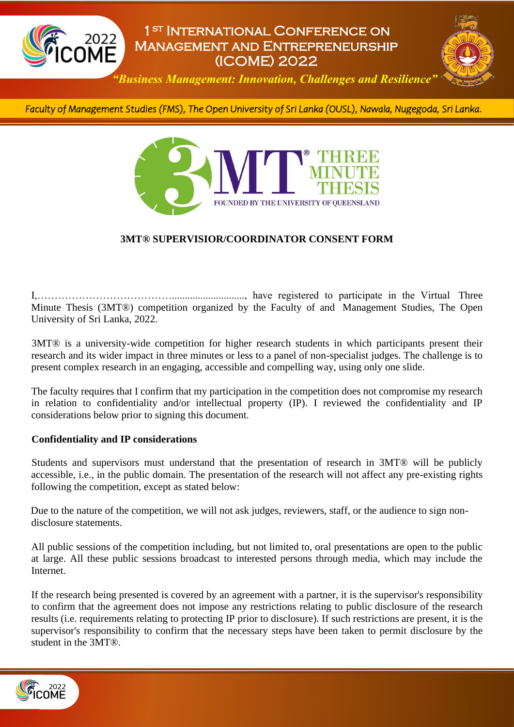

# 1st International Conference on Management and Entrepreneurship (ICOME) 2022



*"Business Management: Innovation, Challenges and Resilience"*

*Faculty of Management Studies (FMS), The Open University of Sri Lanka (OUSL), Nawala, Nugegoda, Sri Lanka.* 



### **3MT® SUPERVISIOR/COORDINATOR CONSENT FORM**

I,…………………………………............................, have registered to participate in the Virtual Three Minute Thesis (3MT®) competition organized by the Faculty of and Management Studies, The Open University of Sri Lanka, 2022.

3MT® is a university-wide competition for higher research students in which participants present their research and its wider impact in three minutes or less to a panel of non-specialist judges. The challenge is to present complex research in an engaging, accessible and compelling way, using only one slide.

The faculty requires that I confirm that my participation in the competition does not compromise my research in relation to confidentiality and/or intellectual property (IP). I reviewed the confidentiality and IP considerations below prior to signing this document.

### **Confidentiality and IP considerations**

Students and supervisors must understand that the presentation of research in 3MT® will be publicly accessible, i.e., in the public domain. The presentation of the research will not affect any pre-existing rights following the competition, except as stated below:

Due to the nature of the competition, we will not ask judges, reviewers, staff, or the audience to sign nondisclosure statements.

All public sessions of the competition including, but not limited to, oral presentations are open to the public at large. All these public sessions broadcast to interested persons through media, which may include the Internet.

If the research being presented is covered by an agreement with a partner, it is the supervisor's responsibility to confirm that the agreement does not impose any restrictions relating to public disclosure of the research results (i.e. requirements relating to protecting IP prior to disclosure). If such restrictions are present, it is the supervisor's responsibility to confirm that the necessary steps have been taken to permit disclosure by the student in the 3MT®.

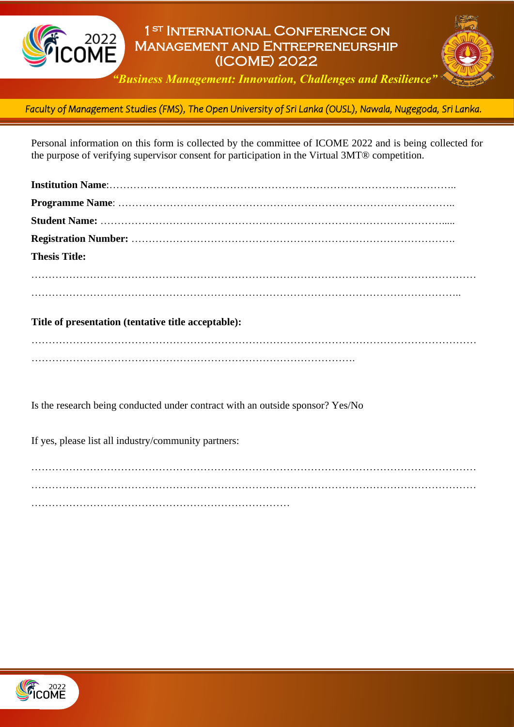

# 1st International Conference on Management and Entrepreneurship (ICOME) 2022



*"Business Management: Innovation, Challenges and Resilience"*

*Faculty of Management Studies (FMS), The Open University of Sri Lanka (OUSL), Nawala, Nugegoda, Sri Lanka.*  l

Personal information on this form is collected by the committee of ICOME 2022 and is being collected for the purpose of verifying supervisor consent for participation in the Virtual 3MT® competition.

| <b>Thesis Title:</b>                                                                                                                                                                                                             |  |
|----------------------------------------------------------------------------------------------------------------------------------------------------------------------------------------------------------------------------------|--|
|                                                                                                                                                                                                                                  |  |
|                                                                                                                                                                                                                                  |  |
| $\mathbf{r}$ , and the set of the set of the set of the set of the set of the set of the set of the set of the set of the set of the set of the set of the set of the set of the set of the set of the set of the set of the set |  |

### **Title of presentation (tentative title acceptable):**

………………………………………………………………………………………………………………… ………………………………………………………………………………….

Is the research being conducted under contract with an outside sponsor? Yes/No

If yes, please list all industry/community partners:

………………………………………………………………………………………………………………… . The same independent of the same independent of the same independent of the same independent of the same independent of the same independent of the same independent of the same independent of the same independent of the …………………………………………………………………